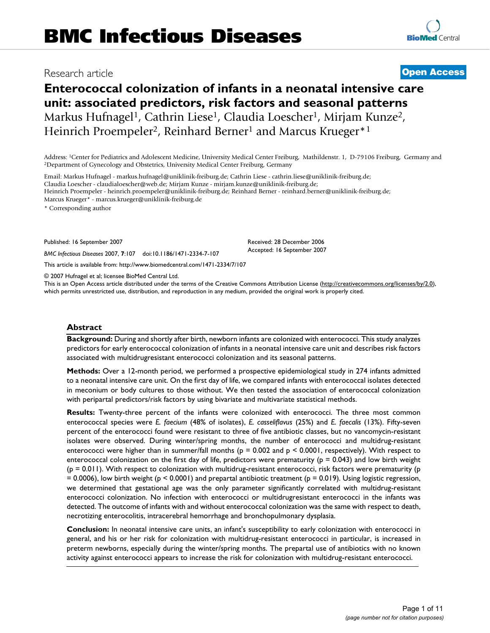# Research article **[Open Access](http://www.biomedcentral.com/info/about/charter/)**

# **Enterococcal colonization of infants in a neonatal intensive care unit: associated predictors, risk factors and seasonal patterns** Markus Hufnagel<sup>1</sup>, Cathrin Liese<sup>1</sup>, Claudia Loescher<sup>1</sup>, Mirjam Kunze<sup>2</sup>, Heinrich Proempeler<sup>2</sup>, Reinhard Berner<sup>1</sup> and Marcus Krueger<sup>\*1</sup>

Address: <sup>1</sup>Center for Pediatrics and Adolescent Medicine, University Medical Center Freiburg, Mathildenstr. 1, D-79106 Freiburg, Germany and <sup>2</sup>Department of Gynecology and Obstetrics, University Medical Center Freiburg,

Email: Markus Hufnagel - markus.hufnagel@uniklinik-freiburg.de; Cathrin Liese - cathrin.liese@uniklinik-freiburg.de; Claudia Loescher - claudialoescher@web.de; Mirjam Kunze - mirjam.kunze@uniklinik-freiburg.de; Heinrich Proempeler - heinrich.proempeler@uniklinik-freiburg.de; Reinhard Berner - reinhard.berner@uniklinik-freiburg.de;

Marcus Krueger\* - marcus.krueger@uniklinik-freiburg.de

\* Corresponding author

Published: 16 September 2007

*BMC Infectious Diseases* 2007, **7**:107 doi:10.1186/1471-2334-7-107

[This article is available from: http://www.biomedcentral.com/1471-2334/7/107](http://www.biomedcentral.com/1471-2334/7/107)

© 2007 Hufnagel et al; licensee BioMed Central Ltd.

This is an Open Access article distributed under the terms of the Creative Commons Attribution License [\(http://creativecommons.org/licenses/by/2.0\)](http://creativecommons.org/licenses/by/2.0), which permits unrestricted use, distribution, and reproduction in any medium, provided the original work is properly cited.

## **Abstract**

**Background:** During and shortly after birth, newborn infants are colonized with enterococci. This study analyzes predictors for early enterococcal colonization of infants in a neonatal intensive care unit and describes risk factors associated with multidrugresistant enterococci colonization and its seasonal patterns.

**Methods:** Over a 12-month period, we performed a prospective epidemiological study in 274 infants admitted to a neonatal intensive care unit. On the first day of life, we compared infants with enterococcal isolates detected in meconium or body cultures to those without. We then tested the association of enterococcal colonization with peripartal predictors/risk factors by using bivariate and multivariate statistical methods.

**Results:** Twenty-three percent of the infants were colonized with enterococci. The three most common enterococcal species were *E. faecium* (48% of isolates), *E. casseliflavus* (25%) and *E. faecalis* (13%). Fifty-seven percent of the enterococci found were resistant to three of five antibiotic classes, but no vancomycin-resistant isolates were observed. During winter/spring months, the number of enterococci and multidrug-resistant enterococci were higher than in summer/fall months ( $p = 0.002$  and  $p \le 0.0001$ , respectively). With respect to enterococcal colonization on the first day of life, predictors were prematurity ( $p = 0.043$ ) and low birth weight  $(p = 0.011)$ . With respect to colonization with multidrug-resistant enterococci, risk factors were prematurity (p  $= 0.0006$ ), low birth weight (p < 0.0001) and prepartal antibiotic treatment (p = 0.019). Using logistic regression, we determined that gestational age was the only parameter significantly correlated with multidrug-resistant enterococci colonization. No infection with enterococci or multidrugresistant enterococci in the infants was detected. The outcome of infants with and without enterococcal colonization was the same with respect to death, necrotizing enterocolitis, intracerebral hemorrhage and bronchopulmonary dysplasia.

**Conclusion:** In neonatal intensive care units, an infant's susceptibility to early colonization with enterococci in general, and his or her risk for colonization with multidrug-resistant enterococci in particular, is increased in preterm newborns, especially during the winter/spring months. The prepartal use of antibiotics with no known activity against enterococci appears to increase the risk for colonization with multidrug-resistant enterococci.



Received: 28 December 2006 Accepted: 16 September 2007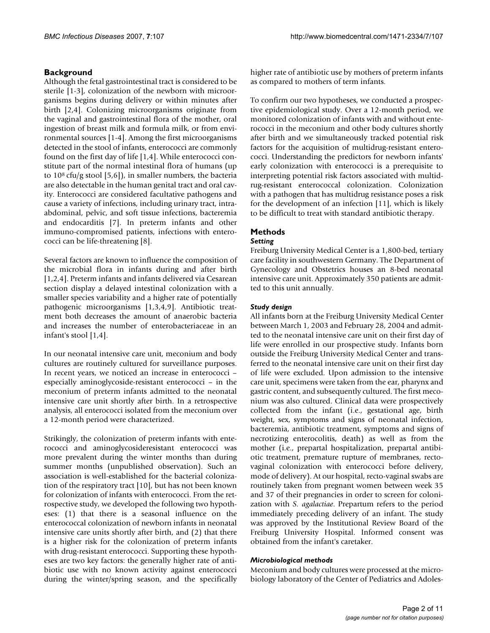# **Background**

Although the fetal gastrointestinal tract is considered to be sterile [1-3], colonization of the newborn with microorganisms begins during delivery or within minutes after birth [2,4]. Colonizing microorganisms originate from the vaginal and gastrointestinal flora of the mother, oral ingestion of breast milk and formula milk, or from environmental sources [1-4]. Among the first microorganisms detected in the stool of infants, enterococci are commonly found on the first day of life [1,4]. While enterococci constitute part of the normal intestinal flora of humans (up to 108 cfu/g stool [5,6]), in smaller numbers, the bacteria are also detectable in the human genital tract and oral cavity. Enterococci are considered facultative pathogens and cause a variety of infections, including urinary tract, intraabdominal, pelvic, and soft tissue infections, bacteremia and endocarditis [7]. In preterm infants and other immuno-compromised patients, infections with enterococci can be life-threatening [8].

Several factors are known to influence the composition of the microbial flora in infants during and after birth [1,2,4]. Preterm infants and infants delivered via Cesarean section display a delayed intestinal colonization with a smaller species variability and a higher rate of potentially pathogenic microorganisms [1,3,4,9]. Antibiotic treatment both decreases the amount of anaerobic bacteria and increases the number of enterobacteriaceae in an infant's stool [1,4].

In our neonatal intensive care unit, meconium and body cultures are routinely cultured for surveillance purposes. In recent years, we noticed an increase in enterococci – especially aminoglycoside-resistant enterococci – in the meconium of preterm infants admitted to the neonatal intensive care unit shortly after birth. In a retrospective analysis, all enterococci isolated from the meconium over a 12-month period were characterized.

Strikingly, the colonization of preterm infants with enterococci and aminoglycosideresistant enterococci was more prevalent during the winter months than during summer months (unpublished observation). Such an association is well-established for the bacterial colonization of the respiratory tract [10], but has not been known for colonization of infants with enterococci. From the retrospective study, we developed the following two hypotheses: (1) that there is a seasonal influence on the enterococcal colonization of newborn infants in neonatal intensive care units shortly after birth, and (2) that there is a higher risk for the colonization of preterm infants with drug-resistant enterococci. Supporting these hypotheses are two key factors: the generally higher rate of antibiotic use with no known activity against enterococci during the winter/spring season, and the specifically higher rate of antibiotic use by mothers of preterm infants as compared to mothers of term infants.

To confirm our two hypotheses, we conducted a prospective epidemiological study. Over a 12-month period, we monitored colonization of infants with and without enterococci in the meconium and other body cultures shortly after birth and we simultaneously tracked potential risk factors for the acquisition of multidrug-resistant enterococci. Understanding the predictors for newborn infants' early colonization with enterococci is a prerequisite to interpreting potential risk factors associated with multidrug-resistant enterococcal colonization. Colonization with a pathogen that has multidrug resistance poses a risk for the development of an infection [11], which is likely to be difficult to treat with standard antibiotic therapy.

# **Methods**

# *Setting*

Freiburg University Medical Center is a 1,800-bed, tertiary care facility in southwestern Germany. The Department of Gynecology and Obstetrics houses an 8-bed neonatal intensive care unit. Approximately 350 patients are admitted to this unit annually.

# *Study design*

All infants born at the Freiburg University Medical Center between March 1, 2003 and February 28, 2004 and admitted to the neonatal intensive care unit on their first day of life were enrolled in our prospective study. Infants born outside the Freiburg University Medical Center and transferred to the neonatal intensive care unit on their first day of life were excluded. Upon admission to the intensive care unit, specimens were taken from the ear, pharynx and gastric content, and subsequently cultured. The first meconium was also cultured. Clinical data were prospectively collected from the infant (i.e., gestational age, birth weight, sex, symptoms and signs of neonatal infection, bacteremia, antibiotic treatment, symptoms and signs of necrotizing enterocolitis, death) as well as from the mother (i.e., prepartal hospitalization, prepartal antibiotic treatment, premature rupture of membranes, rectovaginal colonization with enterococci before delivery, mode of delivery). At our hospital, recto-vaginal swabs are routinely taken from pregnant women between week 35 and 37 of their pregnancies in order to screen for colonization with *S. agalactiae*. Prepartum refers to the period immediately preceding delivery of an infant. The study was approved by the Institutional Review Board of the Freiburg University Hospital. Informed consent was obtained from the infant's caretaker.

# *Microbiological methods*

Meconium and body cultures were processed at the microbiology laboratory of the Center of Pediatrics and Adoles-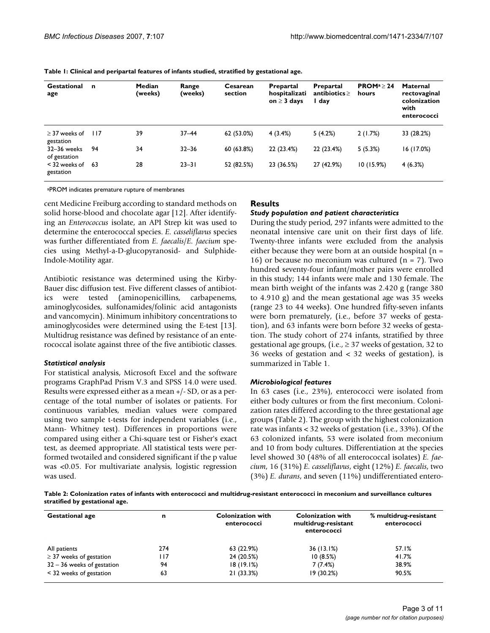| <b>Gestational</b><br>age       | n   | Median<br>(weeks) | Range<br>(weeks) | Cesarean<br>section | Prepartal<br>hospitalizati<br>on $\geq$ 3 days | Prepartal<br>antibiotics $\geq$<br>I day | <b>PROM</b> <sup>a</sup> $\geq$ 24<br>hours | Maternal<br>rectovaginal<br>colonization<br>with<br>enterococci |
|---------------------------------|-----|-------------------|------------------|---------------------|------------------------------------------------|------------------------------------------|---------------------------------------------|-----------------------------------------------------------------|
| $\geq$ 37 weeks of<br>gestation | 117 | 39                | $37 - 44$        | 62 (53.0%)          | 4(3.4%)                                        | 5(4.2%)                                  | 2(1.7%)                                     | 33 (28.2%)                                                      |
| 32-36 weeks<br>of gestation     | 94  | 34                | $32 - 36$        | 60 (63.8%)          | 22 (23.4%)                                     | 22 (23.4%)                               | 5(5.3%)                                     | 16 (17.0%)                                                      |
| < 32 weeks of<br>gestation      | -63 | 28                | $23 - 31$        | 52 (82.5%)          | 23 (36.5%)                                     | 27 (42.9%)                               | 10(15.9%)                                   | 4(6.3%)                                                         |

**Table 1: Clinical and peripartal features of infants studied, stratified by gestational age.**

aPROM indicates premature rupture of membranes

cent Medicine Freiburg according to standard methods on solid horse-blood and chocolate agar [12]. After identifying an *Enterococcus* isolate, an API Strep kit was used to determine the enterococcal species. *E. casseliflavus* species was further differentiated from *E. faecalis*/*E. faecium* species using Methyl-a-D-glucopyranosid- and Sulphide-Indole-Motility agar.

Antibiotic resistance was determined using the Kirby-Bauer disc diffusion test. Five different classes of antibiotics were tested (aminopenicillins, carbapenems, aminoglycosides, sulfonamides/folinic acid antagonists and vancomycin). Minimum inhibitory concentrations to aminoglycosides were determined using the E-test [13]. Multidrug resistance was defined by resistance of an enterococcal isolate against three of the five antibiotic classes.

#### *Statistical analysis*

For statistical analysis, Microsoft Excel and the software programs GraphPad Prism V.3 and SPSS 14.0 were used. Results were expressed either as a mean +/- SD, or as a percentage of the total number of isolates or patients. For continuous variables, median values were compared using two sample t-tests for independent variables (i.e., Mann- Whitney test). Differences in proportions were compared using either a Chi-square test or Fisher's exact test, as deemed appropriate. All statistical tests were performed twotailed and considered significant if the p value was <0.05. For multivariate analysis, logistic regression was used.

#### **Results**

#### *Study population and patient characteristics*

During the study period, 297 infants were admitted to the neonatal intensive care unit on their first days of life. Twenty-three infants were excluded from the analysis either because they were born at an outside hospital  $(n =$ 16) or because no meconium was cultured  $(n = 7)$ . Two hundred seventy-four infant/mother pairs were enrolled in this study; 144 infants were male and 130 female. The mean birth weight of the infants was 2.420 g (range 380 to 4.910 g) and the mean gestational age was 35 weeks (range 23 to 44 weeks). One hundred fifty-seven infants were born prematurely, (i.e., before 37 weeks of gestation), and 63 infants were born before 32 weeks of gestation. The study cohort of 274 infants, stratified by three gestational age groups, (i.e.,  $\geq$  37 weeks of gestation, 32 to 36 weeks of gestation and < 32 weeks of gestation), is summarized in Table 1.

#### *Microbiological features*

In 63 cases (i.e., 23%), enterococci were isolated from either body cultures or from the first meconium. Colonization rates differed according to the three gestational age groups (Table 2). The group with the highest colonization rate was infants < 32 weeks of gestation (i.e., 33%). Of the 63 colonized infants, 53 were isolated from meconium and 10 from body cultures. Differentiation at the species level showed 30 (48% of all enterococcal isolates) *E. faecium*, 16 (31%) *E. casseliflavus*, eight (12%) *E. faecalis*, two (3%) *E. durans*, and seven (11%) undifferentiated entero-

**Table 2: Colonization rates of infants with enterococci and multidrug-resistant enterococci in meconium and surveillance cultures stratified by gestational age.**

| <b>Gestational age</b>       | n   | <b>Colonization with</b><br>enterococci | <b>Colonization with</b><br>multidrug-resistant<br>enterococci | % multidrug-resistant<br>enterococci |
|------------------------------|-----|-----------------------------------------|----------------------------------------------------------------|--------------------------------------|
| All patients                 | 274 | 63 (22.9%)                              | 36(13.1%)                                                      | 57.1%                                |
| $\geq$ 37 weeks of gestation | 117 | 24 (20.5%)                              | 10(8.5%)                                                       | 41.7%                                |
| $32 - 36$ weeks of gestation | 94  | 18(19.1%)                               | 7(7.4%)                                                        | 38.9%                                |
| < 32 weeks of gestation      | 63  | 21 (33.3%)                              | 19(30.2%)                                                      | 90.5%                                |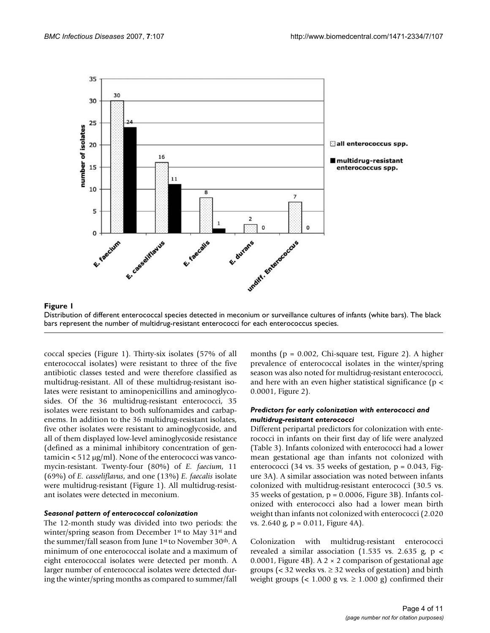

Distribution of different enterococcal spec **Figure 1** ies detected in meconium or surveillance cultures of infants (white bars) Distribution of different enterococcal species detected in meconium or surveillance cultures of infants (white bars). The black bars represent the number of multidrug-resistant enterococci for each enterococcus species.

coccal species (Figure 1). Thirty-six isolates (57% of all enterococcal isolates) were resistant to three of the five antibiotic classes tested and were therefore classified as multidrug-resistant. All of these multidrug-resistant isolates were resistant to aminopenicillins and aminoglycosides. Of the 36 multidrug-resistant enterococci, 35 isolates were resistant to both sulfonamides and carbapenems. In addition to the 36 multidrug-resistant isolates, five other isolates were resistant to aminoglycoside, and all of them displayed low-level aminoglycoside resistance (defined as a minimal inhibitory concentration of gentamicin  $< 512 \mu g/ml$ ). None of the enterococci was vancomycin-resistant. Twenty-four (80%) of *E. faecium*, 11 (69%) of *E. casseliflavus*, and one (13%) *E. faecalis* isolate were multidrug-resistant (Figure 1). All multidrug-resistant isolates were detected in meconium.

# *Seasonal pattern of enterococcal colonization*

The 12-month study was divided into two periods: the winter/spring season from December 1<sup>st</sup> to May 31<sup>st</sup> and the summer/fall season from June 1st to November 30th. A minimum of one enterococcal isolate and a maximum of eight enterococcal isolates were detected per month. A larger number of enterococcal isolates were detected during the winter/spring months as compared to summer/fall

months (p = 0.002, Chi-square test, Figure 2). A higher prevalence of enterococcal isolates in the winter/spring season was also noted for multidrug-resistant enterococci, and here with an even higher statistical significance (p < 0.0001, Figure 2).

# *Predictors for early colonization with enterococci and multidrug-resistant enterococci*

Different peripartal predictors for colonization with enterococci in infants on their first day of life were analyzed (Table 3). Infants colonized with enterococci had a lower mean gestational age than infants not colonized with enterococci (34 vs. 35 weeks of gestation,  $p = 0.043$ , Figure 3A). A similar association was noted between infants colonized with multidrug-resistant enterococci (30.5 vs. 35 weeks of gestation, p = 0.0006, Figure 3B). Infants colonized with enterococci also had a lower mean birth weight than infants not colonized with enterococci (2.020 vs. 2.640 g, p = 0.011, Figure 4A).

Colonization with multidrug-resistant enterococci revealed a similar association (1.535 vs. 2.635 g, p < 0.0001, Figure 4B). A  $2 \times 2$  comparison of gestational age groups ( $<$  32 weeks vs.  $\geq$  32 weeks of gestation) and birth weight groups (< 1.000 g vs.  $\geq$  1.000 g) confirmed their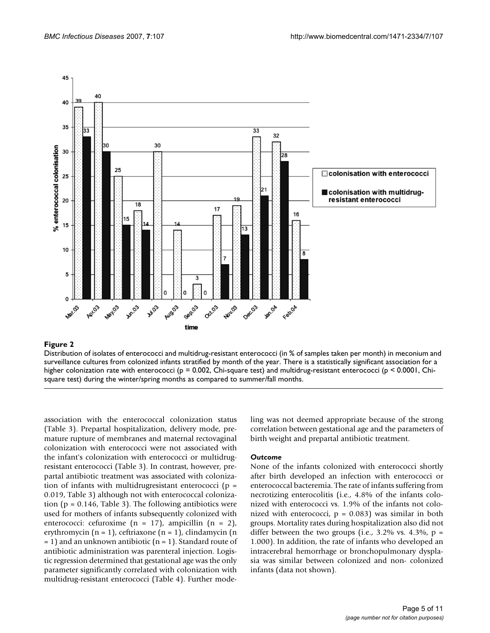

# Distribution of isolates of ente surveillance cultures from colonized in **Figure 2** rococci and multidrug-resistant en fants stratified by month of the year terococci (in % of samples taken per month) in meconium and

Distribution of isolates of enterococci and multidrug-resistant enterococci (in % of samples taken per month) in meconium and surveillance cultures from colonized infants stratified by month of the year. There is a statistically significant association for a higher colonization rate with enterococci ( $p = 0.002$ , Chi-square test) and multidrug-resistant enterococci ( $p \le 0.0001$ , Chisquare test) during the winter/spring months as compared to summer/fall months.

association with the enterococcal colonization status (Table 3). Prepartal hospitalization, delivery mode, premature rupture of membranes and maternal rectovaginal colonization with enterococci were not associated with the infant's colonization with enterococci or multidrugresistant enterococci (Table 3). In contrast, however, prepartal antibiotic treatment was associated with colonization of infants with multidrugresistant enterococci (p = 0.019, Table 3) although not with enterococcal colonization ( $p = 0.146$ , Table 3). The following antibiotics were used for mothers of infants subsequently colonized with enterococci: cefuroxime  $(n = 17)$ , ampicillin  $(n = 2)$ , erythromycin  $(n = 1)$ , ceftriaxone  $(n = 1)$ , clindamycin  $(n = 1)$  $= 1$ ) and an unknown antibiotic (n  $= 1$ ). Standard route of antibiotic administration was parenteral injection. Logistic regression determined that gestational age was the only parameter significantly correlated with colonization with multidrug-resistant enterococci (Table 4). Further modeling was not deemed appropriate because of the strong correlation between gestational age and the parameters of birth weight and prepartal antibiotic treatment.

## *Outcome*

None of the infants colonized with enterococci shortly after birth developed an infection with enterococci or enterococcal bacteremia. The rate of infants suffering from necrotizing enterocolitis (i.e., 4.8% of the infants colonized with enterococci vs. 1.9% of the infants not colonized with enterococci,  $p = 0.083$ ) was similar in both groups. Mortality rates during hospitalization also did not differ between the two groups (i.e., 3.2% vs. 4.3%,  $p =$ 1.000). In addition, the rate of infants who developed an intracerebral hemorrhage or bronchopulmonary dysplasia was similar between colonized and non- colonized infants (data not shown).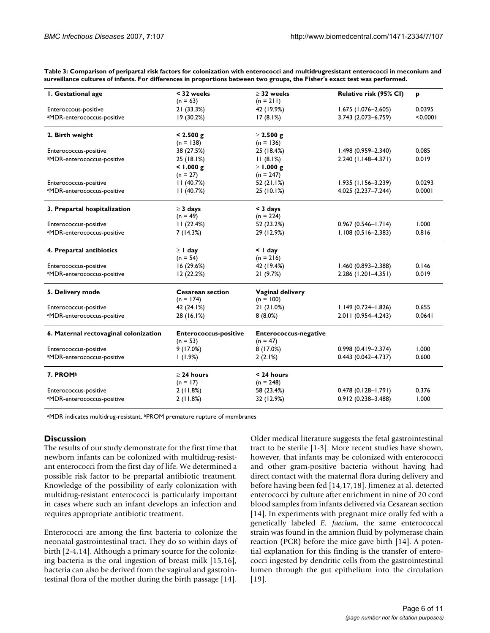| $(n = 63)$<br>$(n = 211)$<br>$1.675$ (1.076-2.605)<br>0.0395<br>Enteroccous-positive<br>21 (33.3%)<br>42 (19.9%)<br>aMDR-enterococcus-positive<br>3.743 (2.073-6.759)<br>< 0.0001<br>19 (30.2%)<br>17(8.1%)<br>< 2.500 g<br>$\geq$ 2.500 g<br>2. Birth weight<br>$(n = 138)$<br>$(n = 136)$<br>$1.498(0.959 - 2.340)$<br>0.085<br>Enterococcus-positive<br>38 (27.5%)<br>25 (18.4%)<br>aMDR-enterococcus-positive<br>2.240 (1.148-4.371)<br>0.019<br>25 (18.1%)<br>11(8.1%)<br>< 1.000 g<br>$\geq 1.000 g$<br>$(n = 27)$<br>$(n = 247)$<br>11(40.7%)<br>52 (21.1%)<br>$1.935(1.156 - 3.239)$<br>0.0293<br>Enterococcus-positive<br>aMDR-enterococcus-positive<br>4.025 (2.237-7.244)<br>25 (10.1%)<br>0.0001<br>11(40.7%)<br>3. Prepartal hospitalization<br>$\geq$ 3 days<br>$<$ 3 days<br>$(n = 49)$<br>$(n = 224)$<br>$0.967(0.546 - 1.714)$<br>1.000<br>Enterococcus-positive<br>11(22.4%)<br>52 (23.2%)<br>aMDR-enterococcus-positive<br>7(14.3%)<br>29 (12.9%)<br>$1.108(0.516 - 2.383)$<br>0.816<br>4. Prepartal antibiotics<br>$\geq$ 1 day<br>$\leq$ 1 day<br>$(n = 54)$<br>$(n = 216)$<br>$1.460(0.893 - 2.388)$<br>0.146<br>Enterococcus-positive<br>16(29.6%)<br>42 (19.4%)<br>aMDR-enterococcus-positive<br>0.019<br>12(22.2%)<br>21(9.7%)<br>$2.286$ (1.201-4.351)<br>5. Delivery mode<br><b>Cesarean section</b><br><b>Vaginal delivery</b><br>$(n = 174)$<br>$(n = 100)$<br>Enterococcus-positive<br>42 (24.1%)<br>21 (21.0%)<br>$1.149(0.724 - 1.826)$<br>0.655<br>aMDR-enterococcus-positive<br>2.011 (0.954-4.243)<br>28 (16.1%)<br>8(8.0%)<br>0.0641<br>6. Maternal rectovaginal colonization<br><b>Enterococcus-positive</b><br><b>Enterococcus-negative</b><br>$(n = 53)$<br>$(n = 47)$<br>9(17.0%)<br>1.000<br>Enterococcus-positive<br>8(17.0%)<br>$0.998(0.419 - 2.374)$<br>aMDR-enterococcus-positive<br>$0.443$ (0.042-4.737)<br>0.600<br>1(1.9%)<br>2(2.1%)<br>< 24 hours<br>7. PROM <sup>b</sup><br>$\geq$ 24 hours<br>$(n = 17)$<br>$(n = 248)$<br>$0.478(0.128 - 1.791)$<br>0.376<br>Enterococcus-positive<br>2(11.8%)<br>58 (23.4%)<br>aMDR-enterococcus-positive<br>$0.912(0.238 - 3.488)$<br>1.000<br>2(11.8%)<br>32 (12.9%) | I. Gestational age | < 32 weeks | $\geq$ 32 weeks | Relative risk (95% CI) | p |
|----------------------------------------------------------------------------------------------------------------------------------------------------------------------------------------------------------------------------------------------------------------------------------------------------------------------------------------------------------------------------------------------------------------------------------------------------------------------------------------------------------------------------------------------------------------------------------------------------------------------------------------------------------------------------------------------------------------------------------------------------------------------------------------------------------------------------------------------------------------------------------------------------------------------------------------------------------------------------------------------------------------------------------------------------------------------------------------------------------------------------------------------------------------------------------------------------------------------------------------------------------------------------------------------------------------------------------------------------------------------------------------------------------------------------------------------------------------------------------------------------------------------------------------------------------------------------------------------------------------------------------------------------------------------------------------------------------------------------------------------------------------------------------------------------------------------------------------------------------------------------------------------------------------------------------------------------------------------------------------------------------------------------------------------------------------------------------------------------------------------------------------------------------------|--------------------|------------|-----------------|------------------------|---|
|                                                                                                                                                                                                                                                                                                                                                                                                                                                                                                                                                                                                                                                                                                                                                                                                                                                                                                                                                                                                                                                                                                                                                                                                                                                                                                                                                                                                                                                                                                                                                                                                                                                                                                                                                                                                                                                                                                                                                                                                                                                                                                                                                                |                    |            |                 |                        |   |
|                                                                                                                                                                                                                                                                                                                                                                                                                                                                                                                                                                                                                                                                                                                                                                                                                                                                                                                                                                                                                                                                                                                                                                                                                                                                                                                                                                                                                                                                                                                                                                                                                                                                                                                                                                                                                                                                                                                                                                                                                                                                                                                                                                |                    |            |                 |                        |   |
|                                                                                                                                                                                                                                                                                                                                                                                                                                                                                                                                                                                                                                                                                                                                                                                                                                                                                                                                                                                                                                                                                                                                                                                                                                                                                                                                                                                                                                                                                                                                                                                                                                                                                                                                                                                                                                                                                                                                                                                                                                                                                                                                                                |                    |            |                 |                        |   |
|                                                                                                                                                                                                                                                                                                                                                                                                                                                                                                                                                                                                                                                                                                                                                                                                                                                                                                                                                                                                                                                                                                                                                                                                                                                                                                                                                                                                                                                                                                                                                                                                                                                                                                                                                                                                                                                                                                                                                                                                                                                                                                                                                                |                    |            |                 |                        |   |
|                                                                                                                                                                                                                                                                                                                                                                                                                                                                                                                                                                                                                                                                                                                                                                                                                                                                                                                                                                                                                                                                                                                                                                                                                                                                                                                                                                                                                                                                                                                                                                                                                                                                                                                                                                                                                                                                                                                                                                                                                                                                                                                                                                |                    |            |                 |                        |   |
|                                                                                                                                                                                                                                                                                                                                                                                                                                                                                                                                                                                                                                                                                                                                                                                                                                                                                                                                                                                                                                                                                                                                                                                                                                                                                                                                                                                                                                                                                                                                                                                                                                                                                                                                                                                                                                                                                                                                                                                                                                                                                                                                                                |                    |            |                 |                        |   |
|                                                                                                                                                                                                                                                                                                                                                                                                                                                                                                                                                                                                                                                                                                                                                                                                                                                                                                                                                                                                                                                                                                                                                                                                                                                                                                                                                                                                                                                                                                                                                                                                                                                                                                                                                                                                                                                                                                                                                                                                                                                                                                                                                                |                    |            |                 |                        |   |
|                                                                                                                                                                                                                                                                                                                                                                                                                                                                                                                                                                                                                                                                                                                                                                                                                                                                                                                                                                                                                                                                                                                                                                                                                                                                                                                                                                                                                                                                                                                                                                                                                                                                                                                                                                                                                                                                                                                                                                                                                                                                                                                                                                |                    |            |                 |                        |   |
|                                                                                                                                                                                                                                                                                                                                                                                                                                                                                                                                                                                                                                                                                                                                                                                                                                                                                                                                                                                                                                                                                                                                                                                                                                                                                                                                                                                                                                                                                                                                                                                                                                                                                                                                                                                                                                                                                                                                                                                                                                                                                                                                                                |                    |            |                 |                        |   |
|                                                                                                                                                                                                                                                                                                                                                                                                                                                                                                                                                                                                                                                                                                                                                                                                                                                                                                                                                                                                                                                                                                                                                                                                                                                                                                                                                                                                                                                                                                                                                                                                                                                                                                                                                                                                                                                                                                                                                                                                                                                                                                                                                                |                    |            |                 |                        |   |
|                                                                                                                                                                                                                                                                                                                                                                                                                                                                                                                                                                                                                                                                                                                                                                                                                                                                                                                                                                                                                                                                                                                                                                                                                                                                                                                                                                                                                                                                                                                                                                                                                                                                                                                                                                                                                                                                                                                                                                                                                                                                                                                                                                |                    |            |                 |                        |   |
|                                                                                                                                                                                                                                                                                                                                                                                                                                                                                                                                                                                                                                                                                                                                                                                                                                                                                                                                                                                                                                                                                                                                                                                                                                                                                                                                                                                                                                                                                                                                                                                                                                                                                                                                                                                                                                                                                                                                                                                                                                                                                                                                                                |                    |            |                 |                        |   |
|                                                                                                                                                                                                                                                                                                                                                                                                                                                                                                                                                                                                                                                                                                                                                                                                                                                                                                                                                                                                                                                                                                                                                                                                                                                                                                                                                                                                                                                                                                                                                                                                                                                                                                                                                                                                                                                                                                                                                                                                                                                                                                                                                                |                    |            |                 |                        |   |
|                                                                                                                                                                                                                                                                                                                                                                                                                                                                                                                                                                                                                                                                                                                                                                                                                                                                                                                                                                                                                                                                                                                                                                                                                                                                                                                                                                                                                                                                                                                                                                                                                                                                                                                                                                                                                                                                                                                                                                                                                                                                                                                                                                |                    |            |                 |                        |   |
|                                                                                                                                                                                                                                                                                                                                                                                                                                                                                                                                                                                                                                                                                                                                                                                                                                                                                                                                                                                                                                                                                                                                                                                                                                                                                                                                                                                                                                                                                                                                                                                                                                                                                                                                                                                                                                                                                                                                                                                                                                                                                                                                                                |                    |            |                 |                        |   |
|                                                                                                                                                                                                                                                                                                                                                                                                                                                                                                                                                                                                                                                                                                                                                                                                                                                                                                                                                                                                                                                                                                                                                                                                                                                                                                                                                                                                                                                                                                                                                                                                                                                                                                                                                                                                                                                                                                                                                                                                                                                                                                                                                                |                    |            |                 |                        |   |
|                                                                                                                                                                                                                                                                                                                                                                                                                                                                                                                                                                                                                                                                                                                                                                                                                                                                                                                                                                                                                                                                                                                                                                                                                                                                                                                                                                                                                                                                                                                                                                                                                                                                                                                                                                                                                                                                                                                                                                                                                                                                                                                                                                |                    |            |                 |                        |   |
|                                                                                                                                                                                                                                                                                                                                                                                                                                                                                                                                                                                                                                                                                                                                                                                                                                                                                                                                                                                                                                                                                                                                                                                                                                                                                                                                                                                                                                                                                                                                                                                                                                                                                                                                                                                                                                                                                                                                                                                                                                                                                                                                                                |                    |            |                 |                        |   |
|                                                                                                                                                                                                                                                                                                                                                                                                                                                                                                                                                                                                                                                                                                                                                                                                                                                                                                                                                                                                                                                                                                                                                                                                                                                                                                                                                                                                                                                                                                                                                                                                                                                                                                                                                                                                                                                                                                                                                                                                                                                                                                                                                                |                    |            |                 |                        |   |
|                                                                                                                                                                                                                                                                                                                                                                                                                                                                                                                                                                                                                                                                                                                                                                                                                                                                                                                                                                                                                                                                                                                                                                                                                                                                                                                                                                                                                                                                                                                                                                                                                                                                                                                                                                                                                                                                                                                                                                                                                                                                                                                                                                |                    |            |                 |                        |   |
|                                                                                                                                                                                                                                                                                                                                                                                                                                                                                                                                                                                                                                                                                                                                                                                                                                                                                                                                                                                                                                                                                                                                                                                                                                                                                                                                                                                                                                                                                                                                                                                                                                                                                                                                                                                                                                                                                                                                                                                                                                                                                                                                                                |                    |            |                 |                        |   |
|                                                                                                                                                                                                                                                                                                                                                                                                                                                                                                                                                                                                                                                                                                                                                                                                                                                                                                                                                                                                                                                                                                                                                                                                                                                                                                                                                                                                                                                                                                                                                                                                                                                                                                                                                                                                                                                                                                                                                                                                                                                                                                                                                                |                    |            |                 |                        |   |
|                                                                                                                                                                                                                                                                                                                                                                                                                                                                                                                                                                                                                                                                                                                                                                                                                                                                                                                                                                                                                                                                                                                                                                                                                                                                                                                                                                                                                                                                                                                                                                                                                                                                                                                                                                                                                                                                                                                                                                                                                                                                                                                                                                |                    |            |                 |                        |   |
|                                                                                                                                                                                                                                                                                                                                                                                                                                                                                                                                                                                                                                                                                                                                                                                                                                                                                                                                                                                                                                                                                                                                                                                                                                                                                                                                                                                                                                                                                                                                                                                                                                                                                                                                                                                                                                                                                                                                                                                                                                                                                                                                                                |                    |            |                 |                        |   |
|                                                                                                                                                                                                                                                                                                                                                                                                                                                                                                                                                                                                                                                                                                                                                                                                                                                                                                                                                                                                                                                                                                                                                                                                                                                                                                                                                                                                                                                                                                                                                                                                                                                                                                                                                                                                                                                                                                                                                                                                                                                                                                                                                                |                    |            |                 |                        |   |
|                                                                                                                                                                                                                                                                                                                                                                                                                                                                                                                                                                                                                                                                                                                                                                                                                                                                                                                                                                                                                                                                                                                                                                                                                                                                                                                                                                                                                                                                                                                                                                                                                                                                                                                                                                                                                                                                                                                                                                                                                                                                                                                                                                |                    |            |                 |                        |   |
|                                                                                                                                                                                                                                                                                                                                                                                                                                                                                                                                                                                                                                                                                                                                                                                                                                                                                                                                                                                                                                                                                                                                                                                                                                                                                                                                                                                                                                                                                                                                                                                                                                                                                                                                                                                                                                                                                                                                                                                                                                                                                                                                                                |                    |            |                 |                        |   |
|                                                                                                                                                                                                                                                                                                                                                                                                                                                                                                                                                                                                                                                                                                                                                                                                                                                                                                                                                                                                                                                                                                                                                                                                                                                                                                                                                                                                                                                                                                                                                                                                                                                                                                                                                                                                                                                                                                                                                                                                                                                                                                                                                                |                    |            |                 |                        |   |

**Table 3: Comparison of peripartal risk factors for colonization with enterococci and multidrugresistant enterococci in meconium and surveillance cultures of infants. For differences in proportions between two groups, the Fisher's exact test was performed.**

aMDR indicates multidrug-resistant, bPROM premature rupture of membranes

# **Discussion**

The results of our study demonstrate for the first time that newborn infants can be colonized with multidrug-resistant enterococci from the first day of life. We determined a possible risk factor to be prepartal antibiotic treatment. Knowledge of the possibility of early colonization with multidrug-resistant enterococci is particularly important in cases where such an infant develops an infection and requires appropriate antibiotic treatment.

Enterococci are among the first bacteria to colonize the neonatal gastrointestinal tract. They do so within days of birth [2-4,14]. Although a primary source for the colonizing bacteria is the oral ingestion of breast milk [15,16], bacteria can also be derived from the vaginal and gastrointestinal flora of the mother during the birth passage [14].

Older medical literature suggests the fetal gastrointestinal tract to be sterile [1-3]. More recent studies have shown, however, that infants may be colonized with enterococci and other gram-positive bacteria without having had direct contact with the maternal flora during delivery and before having been fed [14,17,18]. Jimenez at al. detected enterococci by culture after enrichment in nine of 20 cord blood samples from infants delivered via Cesarean section [14]. In experiments with pregnant mice orally fed with a genetically labeled *E. faecium*, the same enterococcal strain was found in the amnion fluid by polymerase chain reaction (PCR) before the mice gave birth [14]. A potential explanation for this finding is the transfer of enterococci ingested by dendritic cells from the gastrointestinal lumen through the gut epithelium into the circulation [19].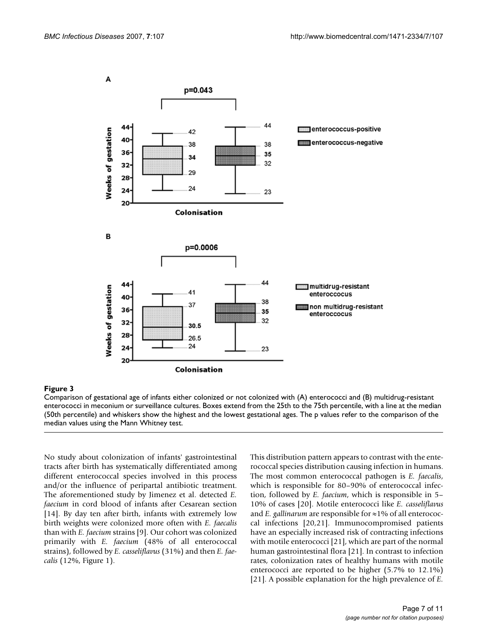

Comparison of gestational age of infants either colonized or not colonized with (A) enterococci and (B) multidrug-resistant enterococci in meconium or surveillance cultures. Boxes extend from the 25th to the 75th percentile, with a line at the median (50th percentile) and whiskers show the highest and the lowest gestational ages. The p values refer to the comparison of the median values using the Mann Whitney test.

No study about colonization of infants' gastrointestinal tracts after birth has systematically differentiated among different enterococcal species involved in this process and/or the influence of peripartal antibiotic treatment. The aforementioned study by Jimenez et al. detected *E. faecium* in cord blood of infants after Cesarean section [14]. By day ten after birth, infants with extremely low birth weights were colonized more often with *E. faecalis* than with *E. faecium* strains [9]. Our cohort was colonized primarily with *E. faecium* (48% of all enterococcal strains), followed by *E. casseliflavus* (31%) and then *E. faecalis* (12%, Figure 1).

This distribution pattern appears to contrast with the enterococcal species distribution causing infection in humans. The most common enterococcal pathogen is *E. faecalis*, which is responsible for 80–90% of enterococcal infection, followed by *E. faecium*, which is responsible in 5– 10% of cases [20]. Motile enterococci like *E. casseliflavus* and *E. gallinarum* are responsible for ≈1% of all enterococcal infections [20,21]. Immunocompromised patients have an especially increased risk of contracting infections with motile enterococci [21], which are part of the normal human gastrointestinal flora [21]. In contrast to infection rates, colonization rates of healthy humans with motile enterococci are reported to be higher (5.7% to 12.1%) [21]. A possible explanation for the high prevalence of *E.*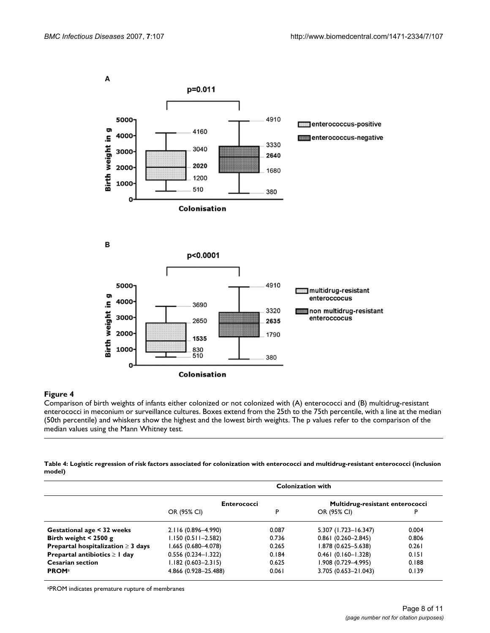

# Comparison of birth weights of infants ei enterococci in meconium or surveillance cultures **Figure 4** ther colonized or not colonized with (A) enterococci and (B) multidrug-resistant

Comparison of birth weights of infants either colonized or not colonized with (A) enterococci and (B) multidrug-resistant enterococci in meconium or surveillance cultures. Boxes extend from the 25th to the 75th percentile, with a line at the median (50th percentile) and whiskers show the highest and the lowest birth weights. The p values refer to the comparison of the median values using the Mann Whitney test.

| Table 4: Logistic regression of risk factors associated for colonization with enterococci and multidrug-resistant enterococci (inclusion |  |
|------------------------------------------------------------------------------------------------------------------------------------------|--|
| model)                                                                                                                                   |  |

|                                         | <b>Colonization with</b> |       |                                 |       |  |
|-----------------------------------------|--------------------------|-------|---------------------------------|-------|--|
|                                         | Enterococci              |       | Multidrug-resistant enterococci |       |  |
|                                         | OR (95% CI)              | Þ     | OR (95% CI)                     |       |  |
| Gestational age < 32 weeks              | 2.116 (0.896-4.990)      | 0.087 | 5.307 (1.723–16.347)            | 0.004 |  |
| Birth weight $<$ 2500 g                 | $1.150(0.511 - 2.582)$   | 0.736 | $0.861(0.260 - 2.845)$          | 0.806 |  |
| Prepartal hospitalization $\geq 3$ days | 1.665 (0.680-4.078)      | 0.265 | $1.878(0.625 - 5.638)$          | 0.261 |  |
| Prepartal antibiotics $\geq 1$ day      | $0.556(0.234 - 1.322)$   | 0.184 | $0.461(0.160 - 1.328)$          | 0.151 |  |
| <b>Cesarian section</b>                 | 1.182 (0.603-2.315)      | 0.625 | 1.908 (0.729-4.995)             | 0.188 |  |
| <b>PROM</b>                             | 4.866 (0.928-25.488)     | 0.061 | 3.705 (0.653-21.043)            | 0.139 |  |

aPROM indicates premature rupture of membranes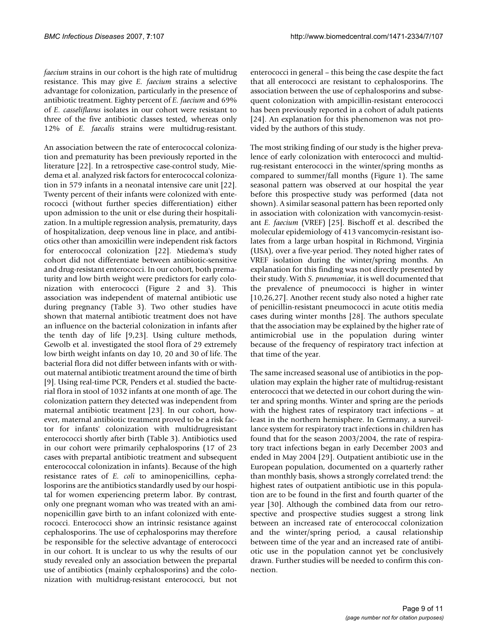*faecium* strains in our cohort is the high rate of multidrug resistance. This may give *E. faecium* strains a selective advantage for colonization, particularly in the presence of antibiotic treatment. Eighty percent of *E. faecium* and 69% of *E. casseliflavus* isolates in our cohort were resistant to three of the five antibiotic classes tested, whereas only 12% of *E. faecalis* strains were multidrug-resistant.

An association between the rate of enterococcal colonization and prematurity has been previously reported in the literature [22]. In a retrospective case-control study, Miedema et al. analyzed risk factors for enterococcal colonization in 579 infants in a neonatal intensive care unit [22]. Twenty percent of their infants were colonized with enterococci (without further species differentiation) either upon admission to the unit or else during their hospitalization. In a multiple regression analysis, prematurity, days of hospitalization, deep venous line in place, and antibiotics other than amoxicillin were independent risk factors for enterococcal colonization [22]. Miedema's study cohort did not differentiate between antibiotic-sensitive and drug-resistant enterococci. In our cohort, both prematurity and low birth weight were predictors for early colonization with enterococci (Figure 2 and 3). This association was independent of maternal antibiotic use during pregnancy (Table 3). Two other studies have shown that maternal antibiotic treatment does not have an influence on the bacterial colonization in infants after the tenth day of life [9,23]. Using culture methods, Gewolb et al. investigated the stool flora of 29 extremely low birth weight infants on day 10, 20 and 30 of life. The bacterial flora did not differ between infants with or without maternal antibiotic treatment around the time of birth [9]. Using real-time PCR, Penders et al. studied the bacterial flora in stool of 1032 infants at one month of age. The colonization pattern they detected was independent from maternal antibiotic treatment [23]. In our cohort, however, maternal antibiotic treatment proved to be a risk factor for infants' colonization with multidrugresistant enterococci shortly after birth (Table 3). Antibiotics used in our cohort were primarily cephalosporins (17 of 23 cases with prepartal antibiotic treatment and subsequent enterococcal colonization in infants). Because of the high resistance rates of *E. coli* to aminopenicillins, cephalosporins are the antibiotics standardly used by our hospital for women experiencing preterm labor. By contrast, only one pregnant woman who was treated with an aminopenicillin gave birth to an infant colonized with enterococci. Enterococci show an intrinsic resistance against cephalosporins. The use of cephalosporins may therefore be responsible for the selective advantage of enterococci in our cohort. It is unclear to us why the results of our study revealed only an association between the prepartal use of antibiotics (mainly cephalosporins) and the colonization with multidrug-resistant enterococci, but not enterococci in general – this being the case despite the fact that all enterococci are resistant to cephalosporins. The association between the use of cephalosporins and subsequent colonization with ampicillin-resistant enterococci has been previously reported in a cohort of adult patients [24]. An explanation for this phenomenon was not provided by the authors of this study.

The most striking finding of our study is the higher prevalence of early colonization with enterococci and multidrug-resistant enterococci in the winter/spring months as compared to summer/fall months (Figure 1). The same seasonal pattern was observed at our hospital the year before this prospective study was performed (data not shown). A similar seasonal pattern has been reported only in association with colonization with vancomycin-resistant *E. faecium* (VREF) [25]. Bischoff et al. described the molecular epidemiology of 413 vancomycin-resistant isolates from a large urban hospital in Richmond, Virginia (USA), over a five-year period. They noted higher rates of VREF isolation during the winter/spring months. An explanation for this finding was not directly presented by their study. With *S. pneumoniae*, it is well documented that the prevalence of pneumococci is higher in winter [10,26,27]. Another recent study also noted a higher rate of penicillin-resistant pneumococci in acute otitis media cases during winter months [28]. The authors speculate that the association may be explained by the higher rate of antimicrobial use in the population during winter because of the frequency of respiratory tract infection at that time of the year.

The same increased seasonal use of antibiotics in the population may explain the higher rate of multidrug-resistant enterococci that we detected in our cohort during the winter and spring months. Winter and spring are the periods with the highest rates of respiratory tract infections – at least in the northern hemisphere. In Germany, a surveillance system for respiratory tract infections in children has found that for the season 2003/2004, the rate of respiratory tract infections began in early December 2003 and ended in May 2004 [29]. Outpatient antibiotic use in the European population, documented on a quarterly rather than monthly basis, shows a strongly correlated trend: the highest rates of outpatient antibiotic use in this population are to be found in the first and fourth quarter of the year [30]. Although the combined data from our retrospective and prospective studies suggest a strong link between an increased rate of enterococcal colonization and the winter/spring period, a causal relationship between time of the year and an increased rate of antibiotic use in the population cannot yet be conclusively drawn. Further studies will be needed to confirm this connection.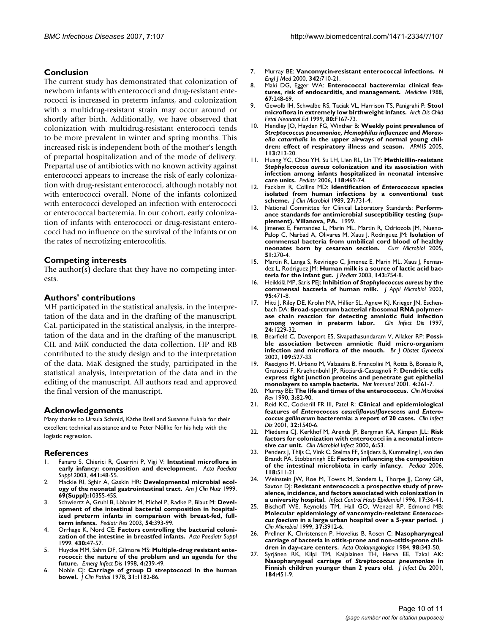## **Conclusion**

The current study has demonstrated that colonization of newborn infants with enterococci and drug-resistant enterococci is increased in preterm infants, and colonization with a multidrug-resistant strain may occur around or shortly after birth. Additionally, we have observed that colonization with multidrug-resistant enterococci tends to be more prevalent in winter and spring months. This increased risk is independent both of the mother's length of prepartal hospitalization and of the mode of delivery. Prepartal use of antibiotics with no known activity against enterococci appears to increase the risk of early colonization with drug-resistant enterococci, although notably not with enterococci overall. None of the infants colonized with enterococci developed an infection with enterococci or enterococcal bacteremia. In our cohort, early colonization of infants with enterococci or drug-resistant enterococci had no influence on the survival of the infants or on the rates of necrotizing enterocolitis.

## **Competing interests**

The author(s) declare that they have no competing interests.

## **Authors' contributions**

MH participated in the statistical analysis, in the interpretation of the data and in the drafting of the manuscript. CaL participated in the statistical analysis, in the interpretation of the data and in the drafting of the manuscript. CIL and MiK conducted the data collection. HP and RB contributed to the study design and to the interpretation of the data. MaK designed the study, participated in the statistical analysis, interpretation of the data and in the editing of the manuscript. All authors read and approved the final version of the manuscript.

## **Acknowledgements**

Many thanks to Ursula Schmid, Käthe Brell and Susanne Fukala for their excellent technical assistance and to Peter Nöllke for his help with the logistic regression.

## **References**

- 1. Fanaro S, Chierici R, Guerrini P, Vigi V: **Intestinal microflora in early infancy: composition and development.** *Acta Paediatr Suppl* 2003, **441:**48-55.
- 2. Mackie RI, Sghir A, Gaskin HR: **Developmental microbial ecology of the neonatal gastrointestinal tract.** *Am J Clin Nutr* 1999, **69(Suppl):**1035S-45S.
- 3. Schwiertz A, Gruhl B, Löbnitz M, Michel P, Radke P, Blaut M: **[Devel](http://www.ncbi.nlm.nih.gov/entrez/query.fcgi?cmd=Retrieve&db=PubMed&dopt=Abstract&list_uids=12788986)opment of the intestinal bacterial composition in hospital[ized preterm infants in comparison with breast-fed, full](http://www.ncbi.nlm.nih.gov/entrez/query.fcgi?cmd=Retrieve&db=PubMed&dopt=Abstract&list_uids=12788986)[term infants.](http://www.ncbi.nlm.nih.gov/entrez/query.fcgi?cmd=Retrieve&db=PubMed&dopt=Abstract&list_uids=12788986)** *Pediatr Res* 2003, **54:**393-99.
- 4. Orrhage K, Nord CE: **Factors controlling the bacterial colonization of the intestine in breastfed infants.** *Acta Paediatr Suppl* 1999, **430:**47-57.
- 5. Huycke MM, Sahm DF, Gilmore MS: **[Multiple-drug resistant ente](http://www.ncbi.nlm.nih.gov/entrez/query.fcgi?cmd=Retrieve&db=PubMed&dopt=Abstract&list_uids=9621194)[rococci: the nature of the problem and an agenda for the](http://www.ncbi.nlm.nih.gov/entrez/query.fcgi?cmd=Retrieve&db=PubMed&dopt=Abstract&list_uids=9621194) [future.](http://www.ncbi.nlm.nih.gov/entrez/query.fcgi?cmd=Retrieve&db=PubMed&dopt=Abstract&list_uids=9621194)** *Emerg Infect Dis* 1998, **4:**239-49.
- 6. Noble CJ: **[Carriage of group D streptococci in the human](http://www.ncbi.nlm.nih.gov/entrez/query.fcgi?cmd=Retrieve&db=PubMed&dopt=Abstract&list_uids=107199) [bowel.](http://www.ncbi.nlm.nih.gov/entrez/query.fcgi?cmd=Retrieve&db=PubMed&dopt=Abstract&list_uids=107199)** *J Clin Pathol* 1978, **31:**1182-86.
- 7. Murray BE: **[Vancomycin-resistant enterococcal infections.](http://www.ncbi.nlm.nih.gov/entrez/query.fcgi?cmd=Retrieve&db=PubMed&dopt=Abstract&list_uids=10706902)** *N Engl J Med* 2000, **342:**710-21.
- 8. Maki DG, Egger WA: **[Enterococcal bacteremia: clinical fea](http://www.ncbi.nlm.nih.gov/entrez/query.fcgi?cmd=Retrieve&db=PubMed&dopt=Abstract&list_uids=3134590)[tures, risk of endocarditis, and management.](http://www.ncbi.nlm.nih.gov/entrez/query.fcgi?cmd=Retrieve&db=PubMed&dopt=Abstract&list_uids=3134590)** *Medicine* 1988, **67:**248-69.
- 9. Gewolb IH, Schwalbe RS, Taciak VL, Harrison TS, Panigrahi P: **[Stool](http://www.ncbi.nlm.nih.gov/entrez/query.fcgi?cmd=Retrieve&db=PubMed&dopt=Abstract&list_uids=10212075) [microflora in extremely low birthweight infants.](http://www.ncbi.nlm.nih.gov/entrez/query.fcgi?cmd=Retrieve&db=PubMed&dopt=Abstract&list_uids=10212075)** *Arch Dis Child Fetal Neonatal Ed* 1999, **80:**F167-73.
- 10. Hendley JO, Hayden FG, Winther B: **Weekly point prevalence of** *Streptococcus pneumoniae, Hemophilus influenzae* **and** *Moraxella catarrhalis* **[in the upper airways of normal young chil](http://www.ncbi.nlm.nih.gov/entrez/query.fcgi?cmd=Retrieve&db=PubMed&dopt=Abstract&list_uids=15799766)[dren: effect of respiratory illness and season.](http://www.ncbi.nlm.nih.gov/entrez/query.fcgi?cmd=Retrieve&db=PubMed&dopt=Abstract&list_uids=15799766)** *APMIS* 2005, **113:**213-20.
- 11. Huang YC, Chou YH, Su LH, Lien RL, Lin TY: **Methicillin-resistant** *Staphylococcus aureus* **colonization and its association with infection among infants hospitalized in neonatal intensive care units.** *Pediatr* 2006, **118:**469-74.
- 12. Facklam R, Collins MD: **Identification of** *Enterococcus* **[species](http://www.ncbi.nlm.nih.gov/entrez/query.fcgi?cmd=Retrieve&db=PubMed&dopt=Abstract&list_uids=2656745) [isolated from human infections by a conventional test](http://www.ncbi.nlm.nih.gov/entrez/query.fcgi?cmd=Retrieve&db=PubMed&dopt=Abstract&list_uids=2656745) [scheme.](http://www.ncbi.nlm.nih.gov/entrez/query.fcgi?cmd=Retrieve&db=PubMed&dopt=Abstract&list_uids=2656745)** *J Clin Microbiol* 1989, **27:**731-4.
- 13. National Committee for Clinical Laboratory Standards: **Performance standards for antimicrobial susceptibility testing (supplement). Villanova, PA.** 1999.
- 14. Jimenez E, Fernandez L, Marin ML, Martin R, Odriozola JM, Nueno-Palop C, Narbad A, Olivares M, Xaus J, Rodriguez JM: **[Isolation of](http://www.ncbi.nlm.nih.gov/entrez/query.fcgi?cmd=Retrieve&db=PubMed&dopt=Abstract&list_uids=16187156) [commensal bacteria from umbilical cord blood of healthy](http://www.ncbi.nlm.nih.gov/entrez/query.fcgi?cmd=Retrieve&db=PubMed&dopt=Abstract&list_uids=16187156) [neonates born by cesarean section.](http://www.ncbi.nlm.nih.gov/entrez/query.fcgi?cmd=Retrieve&db=PubMed&dopt=Abstract&list_uids=16187156)** *Curr Microbiol* 2005, **51:**270-4.
- 15. Martin R, Langa S, Reviriego C, Jimenez E, Marin ML, Xaus J, Fernandez L, Rodriguez JM: **[Human milk is a source of lactic acid bac](http://www.ncbi.nlm.nih.gov/entrez/query.fcgi?cmd=Retrieve&db=PubMed&dopt=Abstract&list_uids=14657823)[teria for the infant gut.](http://www.ncbi.nlm.nih.gov/entrez/query.fcgi?cmd=Retrieve&db=PubMed&dopt=Abstract&list_uids=14657823)** *J Pediatr* 2003, **143:**754-8.
- 16. Heikkilä MP, Saris PEJ: **Inhibition of** *Staphylococcus aureus* **[by the](http://www.ncbi.nlm.nih.gov/entrez/query.fcgi?cmd=Retrieve&db=PubMed&dopt=Abstract&list_uids=12911694) [commensal bacteria of human milk.](http://www.ncbi.nlm.nih.gov/entrez/query.fcgi?cmd=Retrieve&db=PubMed&dopt=Abstract&list_uids=12911694)** *J Appl Microbiol* 2003, **95:**471-8.
- 17. Hitti J, Riley DE, Krohn MA, Hillier SL, Agnew KJ, Krieger JN, Eschenbach DA: **Broad-spectrum bacterial ribosomal RNA polymerase chain reaction for detecting amniotic fluid infection among women in preterm labor.** *Clin Infect Dis* 1997, **24:**1229-32.
- 18. Bearfield C, Davenport ES, Sivapathasundaram V, Allaker RP: **Possible association between amniotic fluid micro-organism infection and microflora of the mouth.** *Br J Obstet Gynaecol* 2002, **109:**527-33.
- 19. Rescigno M, Urbano M, Valzasina B, Francolini M, Rotta B, Bonasio R, Granucci F, Kraehenbuhl JP, Ricciardi-Castagnoli P: **Dendritic cells express tight junction proteins and penetrate gut epithelial monolayers to sample bacteria.** *Nat Immunol* 2001, **4:**361-7.
- 20. Murray BE: **The life and times of the enterococcus.** *Clin Microbiol Rev* 1990, **3:**82-90.
- 21. Reid KC, Cockerill FR III, Patel R: **Clinical and epidemiological features of** *Enterococcus casseliflavus/flavescens* **and** *Enterococcus gallinarum* **[bacteremia: a report of 20 cases.](http://www.ncbi.nlm.nih.gov/entrez/query.fcgi?cmd=Retrieve&db=PubMed&dopt=Abstract&list_uids=11340524)** *Clin Infect Dis* 2001, **32:**1540-6.
- 22. Miedema CJ, Kerkhof M, Arends JP, Bergman KA, Kimpen JLL: **[Risk](http://www.ncbi.nlm.nih.gov/entrez/query.fcgi?cmd=Retrieve&db=PubMed&dopt=Abstract&list_uids=11168040) [factors for colonization with enterococci in a neonatal inten](http://www.ncbi.nlm.nih.gov/entrez/query.fcgi?cmd=Retrieve&db=PubMed&dopt=Abstract&list_uids=11168040)[sive car unit.](http://www.ncbi.nlm.nih.gov/entrez/query.fcgi?cmd=Retrieve&db=PubMed&dopt=Abstract&list_uids=11168040)** *Clin Microbiol Infect* 2000, **6:**53.
- 23. Penders J, Thijs C, Vink C, Stelma FF, Snijders B, Kummeling I, van den Brandt PA, Stobberingh EE: **Factors influencing the composition of the intestinal microbiota in early infancy.** *Pediatr* 2006, **118:**511-21.
- 24. Weinstein JW, Roe M, Towns M, Sanders L, Thorpe JJ, Corey GR, Saxton DJ: **[Resistant enterococci: a prospective study of prev](http://www.ncbi.nlm.nih.gov/entrez/query.fcgi?cmd=Retrieve&db=PubMed&dopt=Abstract&list_uids=8789685)[alence, incidence, and factors associated with colonization in](http://www.ncbi.nlm.nih.gov/entrez/query.fcgi?cmd=Retrieve&db=PubMed&dopt=Abstract&list_uids=8789685) [a university hospital.](http://www.ncbi.nlm.nih.gov/entrez/query.fcgi?cmd=Retrieve&db=PubMed&dopt=Abstract&list_uids=8789685)** *Infect Control Hosp Epidemiol* 1996, **17:**36-41.
- 25. Bischoff WE, Reynolds TM, Hall GO, Wenzel RP, Edmond MB: **Molecular epidemiology of vancomycin-resistant** *Enterococcus faecium* **[in a large urban hospital over a 5-year period.](http://www.ncbi.nlm.nih.gov/entrez/query.fcgi?cmd=Retrieve&db=PubMed&dopt=Abstract&list_uids=10565906)** *J Clin Microbiol* 1999, **37:**3912-6.
- 26. Prellner K, Christensen P, Hovelius B, Rosen C: **Nasopharyngeal carriage of bacteria in otitis-prone and non-otitis-prone children in day-care centers.** *Acta Otolaryngologica* 1984, **98:**343-50.
- 27. Syrjänen RK, Kilpi TM, Kaijalainen TH, Herva EE, Takal AK: **Nasopharyngeal carriage of** *Streptococcus pneumoniae* **[in](http://www.ncbi.nlm.nih.gov/entrez/query.fcgi?cmd=Retrieve&db=PubMed&dopt=Abstract&list_uids=11471103) [Finnish children younger than 2 years old.](http://www.ncbi.nlm.nih.gov/entrez/query.fcgi?cmd=Retrieve&db=PubMed&dopt=Abstract&list_uids=11471103)** *J Infect Dis* 2001, **184:**451-9.